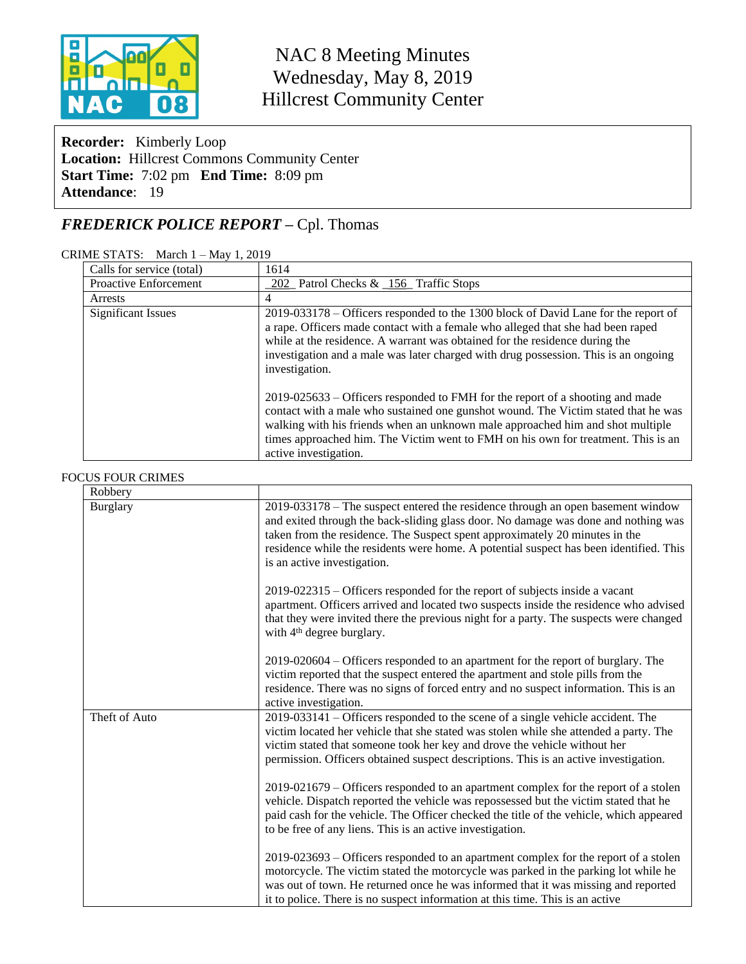

# NAC 8 Meeting Minutes Wednesday, May 8, 2019 Hillcrest Community Center

**Recorder:** Kimberly Loop **Location:** Hillcrest Commons Community Center **Start Time:** 7:02 pm **End Time:** 8:09 pm **Attendance**: 19

# *FREDERICK POLICE REPORT –* Cpl. Thomas

#### CRIME STATS: March 1 – May 1, 2019

| Calls for service (total) | 1614                                                                                                                                                                                                                                                                                                                                                                |  |  |  |  |
|---------------------------|---------------------------------------------------------------------------------------------------------------------------------------------------------------------------------------------------------------------------------------------------------------------------------------------------------------------------------------------------------------------|--|--|--|--|
| Proactive Enforcement     | 202 Patrol Checks & 156 Traffic Stops                                                                                                                                                                                                                                                                                                                               |  |  |  |  |
| Arrests                   | 4                                                                                                                                                                                                                                                                                                                                                                   |  |  |  |  |
| <b>Significant Issues</b> | 2019-033178 – Officers responded to the 1300 block of David Lane for the report of<br>a rape. Officers made contact with a female who alleged that she had been raped<br>while at the residence. A warrant was obtained for the residence during the<br>investigation and a male was later charged with drug possession. This is an ongoing<br>investigation.       |  |  |  |  |
|                           | 2019-025633 – Officers responded to FMH for the report of a shooting and made<br>contact with a male who sustained one gunshot wound. The Victim stated that he was<br>walking with his friends when an unknown male approached him and shot multiple<br>times approached him. The Victim went to FMH on his own for treatment. This is an<br>active investigation. |  |  |  |  |

#### FOCUS FOUR CRIMES

| Robbery       |                                                                                                                                                                                                                                                                                                                                                                               |
|---------------|-------------------------------------------------------------------------------------------------------------------------------------------------------------------------------------------------------------------------------------------------------------------------------------------------------------------------------------------------------------------------------|
| Burglary      | 2019-033178 – The suspect entered the residence through an open basement window<br>and exited through the back-sliding glass door. No damage was done and nothing was<br>taken from the residence. The Suspect spent approximately 20 minutes in the<br>residence while the residents were home. A potential suspect has been identified. This<br>is an active investigation. |
|               | 2019-022315 – Officers responded for the report of subjects inside a vacant<br>apartment. Officers arrived and located two suspects inside the residence who advised<br>that they were invited there the previous night for a party. The suspects were changed<br>with 4 <sup>th</sup> degree burglary.                                                                       |
|               | 2019-020604 – Officers responded to an apartment for the report of burglary. The<br>victim reported that the suspect entered the apartment and stole pills from the<br>residence. There was no signs of forced entry and no suspect information. This is an<br>active investigation.                                                                                          |
| Theft of Auto | 2019-033141 - Officers responded to the scene of a single vehicle accident. The<br>victim located her vehicle that she stated was stolen while she attended a party. The<br>victim stated that someone took her key and drove the vehicle without her<br>permission. Officers obtained suspect descriptions. This is an active investigation.                                 |
|               | $2019-021679$ – Officers responded to an apartment complex for the report of a stolen<br>vehicle. Dispatch reported the vehicle was repossessed but the victim stated that he<br>paid cash for the vehicle. The Officer checked the title of the vehicle, which appeared<br>to be free of any liens. This is an active investigation.                                         |
|               | 2019-023693 – Officers responded to an apartment complex for the report of a stolen<br>motorcycle. The victim stated the motorcycle was parked in the parking lot while he<br>was out of town. He returned once he was informed that it was missing and reported<br>it to police. There is no suspect information at this time. This is an active                             |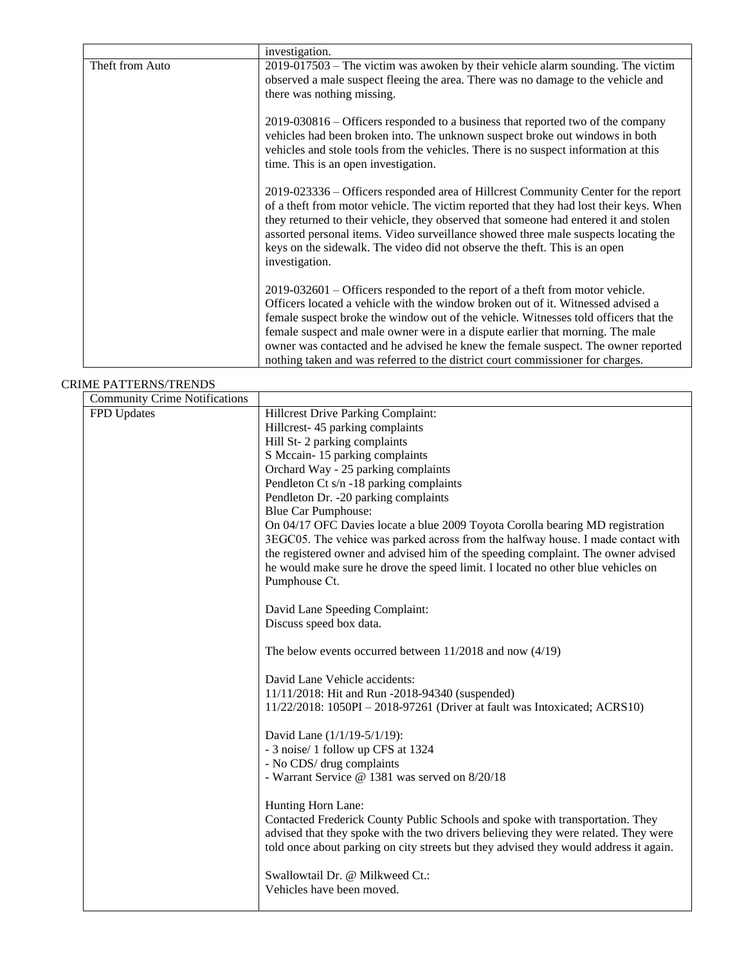|                 | investigation.                                                                                                                                                                                                                                                                                                                                                                                                                                              |
|-----------------|-------------------------------------------------------------------------------------------------------------------------------------------------------------------------------------------------------------------------------------------------------------------------------------------------------------------------------------------------------------------------------------------------------------------------------------------------------------|
| Theft from Auto | $2019-017503$ – The victim was awoken by their vehicle alarm sounding. The victim                                                                                                                                                                                                                                                                                                                                                                           |
|                 | observed a male suspect fleeing the area. There was no damage to the vehicle and                                                                                                                                                                                                                                                                                                                                                                            |
|                 | there was nothing missing.                                                                                                                                                                                                                                                                                                                                                                                                                                  |
|                 | 2019-030816 – Officers responded to a business that reported two of the company<br>vehicles had been broken into. The unknown suspect broke out windows in both<br>vehicles and stole tools from the vehicles. There is no suspect information at this<br>time. This is an open investigation.                                                                                                                                                              |
|                 | 2019-023336 – Officers responded area of Hillcrest Community Center for the report<br>of a theft from motor vehicle. The victim reported that they had lost their keys. When<br>they returned to their vehicle, they observed that someone had entered it and stolen<br>assorted personal items. Video surveillance showed three male suspects locating the<br>keys on the sidewalk. The video did not observe the theft. This is an open<br>investigation. |
|                 | $2019-032601$ – Officers responded to the report of a theft from motor vehicle.<br>Officers located a vehicle with the window broken out of it. Witnessed advised a<br>female suspect broke the window out of the vehicle. Witnesses told officers that the                                                                                                                                                                                                 |
|                 | female suspect and male owner were in a dispute earlier that morning. The male                                                                                                                                                                                                                                                                                                                                                                              |
|                 | owner was contacted and he advised he knew the female suspect. The owner reported                                                                                                                                                                                                                                                                                                                                                                           |
|                 | nothing taken and was referred to the district court commissioner for charges.                                                                                                                                                                                                                                                                                                                                                                              |

#### CRIME PATTERNS/TRENDS

| <b>Community Crime Notifications</b> |                                                                                       |
|--------------------------------------|---------------------------------------------------------------------------------------|
| FPD Updates                          | Hillcrest Drive Parking Complaint:                                                    |
|                                      | Hillcrest-45 parking complaints                                                       |
|                                      | Hill St-2 parking complaints                                                          |
|                                      | S Mccain-15 parking complaints                                                        |
|                                      | Orchard Way - 25 parking complaints                                                   |
|                                      | Pendleton Ct s/n -18 parking complaints                                               |
|                                      | Pendleton Dr. -20 parking complaints                                                  |
|                                      | <b>Blue Car Pumphouse:</b>                                                            |
|                                      | On 04/17 OFC Davies locate a blue 2009 Toyota Corolla bearing MD registration         |
|                                      | 3EGC05. The vehice was parked across from the halfway house. I made contact with      |
|                                      | the registered owner and advised him of the speeding complaint. The owner advised     |
|                                      | he would make sure he drove the speed limit. I located no other blue vehicles on      |
|                                      | Pumphouse Ct.                                                                         |
|                                      | David Lane Speeding Complaint:                                                        |
|                                      | Discuss speed box data.                                                               |
|                                      |                                                                                       |
|                                      | The below events occurred between $11/2018$ and now $(4/19)$                          |
|                                      | David Lane Vehicle accidents:                                                         |
|                                      | 11/11/2018: Hit and Run -2018-94340 (suspended)                                       |
|                                      | 11/22/2018: 1050PI - 2018-97261 (Driver at fault was Intoxicated; ACRS10)             |
|                                      | David Lane (1/1/19-5/1/19):                                                           |
|                                      | - 3 noise/ 1 follow up CFS at 1324                                                    |
|                                      | - No CDS/ drug complaints                                                             |
|                                      | - Warrant Service @ 1381 was served on 8/20/18                                        |
|                                      | Hunting Horn Lane:                                                                    |
|                                      | Contacted Frederick County Public Schools and spoke with transportation. They         |
|                                      | advised that they spoke with the two drivers believing they were related. They were   |
|                                      | told once about parking on city streets but they advised they would address it again. |
|                                      | Swallowtail Dr. @ Milkweed Ct.:                                                       |
|                                      | Vehicles have been moved.                                                             |
|                                      |                                                                                       |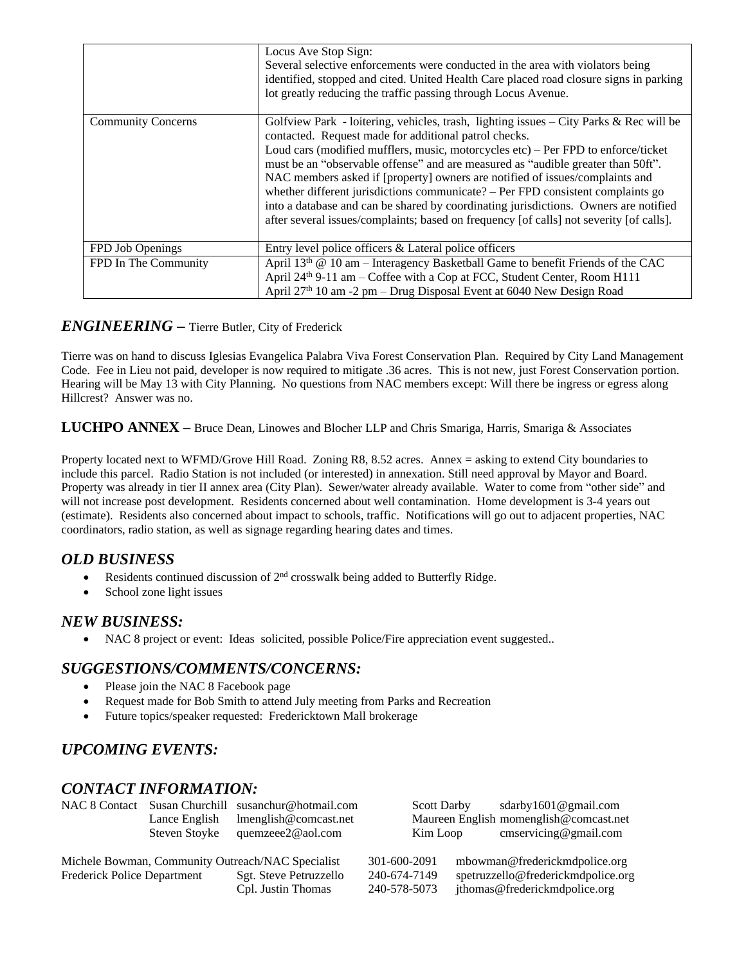|                           | Locus Ave Stop Sign:<br>Several selective enforcements were conducted in the area with violators being<br>identified, stopped and cited. United Health Care placed road closure signs in parking<br>lot greatly reducing the traffic passing through Locus Avenue.                                                                                                                                                                                                                                                                                                                                                                                                             |
|---------------------------|--------------------------------------------------------------------------------------------------------------------------------------------------------------------------------------------------------------------------------------------------------------------------------------------------------------------------------------------------------------------------------------------------------------------------------------------------------------------------------------------------------------------------------------------------------------------------------------------------------------------------------------------------------------------------------|
| <b>Community Concerns</b> | Golfview Park - loitering, vehicles, trash, lighting issues - City Parks & Rec will be<br>contacted. Request made for additional patrol checks.<br>Loud cars (modified mufflers, music, motorcycles etc) – Per FPD to enforce/ticket<br>must be an "observable offense" and are measured as "audible greater than 50ft".<br>NAC members asked if [property] owners are notified of issues/complaints and<br>whether different jurisdictions communicate? – Per FPD consistent complaints go<br>into a database and can be shared by coordinating jurisdictions. Owners are notified<br>after several issues/complaints; based on frequency [of calls] not severity [of calls]. |
| FPD Job Openings          | Entry level police officers & Lateral police officers                                                                                                                                                                                                                                                                                                                                                                                                                                                                                                                                                                                                                          |
| FPD In The Community      | April 13th @ 10 am – Interagency Basketball Game to benefit Friends of the CAC<br>April 24th 9-11 am – Coffee with a Cop at FCC, Student Center, Room H111<br>April 27th 10 am -2 pm – Drug Disposal Event at 6040 New Design Road                                                                                                                                                                                                                                                                                                                                                                                                                                             |

## *ENGINEERING –* Tierre Butler, City of Frederick

Tierre was on hand to discuss Iglesias Evangelica Palabra Viva Forest Conservation Plan. Required by City Land Management Code. Fee in Lieu not paid, developer is now required to mitigate .36 acres. This is not new, just Forest Conservation portion. Hearing will be May 13 with City Planning. No questions from NAC members except: Will there be ingress or egress along Hillcrest? Answer was no.

**LUCHPO ANNEX –** Bruce Dean, Linowes and Blocher LLP and Chris Smariga, Harris, Smariga & Associates

Property located next to WFMD/Grove Hill Road. Zoning R8, 8.52 acres. Annex = asking to extend City boundaries to include this parcel. Radio Station is not included (or interested) in annexation. Still need approval by Mayor and Board. Property was already in tier II annex area (City Plan). Sewer/water already available. Water to come from "other side" and will not increase post development. Residents concerned about well contamination. Home development is 3-4 years out (estimate). Residents also concerned about impact to schools, traffic. Notifications will go out to adjacent properties, NAC coordinators, radio station, as well as signage regarding hearing dates and times.

# *OLD BUSINESS*

- Residents continued discussion of  $2<sup>nd</sup>$  crosswalk being added to Butterfly Ridge.
- School zone light issues

### *NEW BUSINESS:*

NAC 8 project or event: Ideas solicited, possible Police/Fire appreciation event suggested..

# *SUGGESTIONS/COMMENTS/CONCERNS:*

- Please join the NAC 8 Facebook page
- Request made for Bob Smith to attend July meeting from Parks and Recreation
- Future topics/speaker requested: Fredericktown Mall brokerage

# *UPCOMING EVENTS:*

### *CONTACT INFORMATION:*

| NAC 8 Contact                                     | Susan Churchill<br>susanchur@hotmail.com<br><b>Scott Darby</b> |                        |              | sdarby $1601$ @ gmail.com |                                        |
|---------------------------------------------------|----------------------------------------------------------------|------------------------|--------------|---------------------------|----------------------------------------|
|                                                   | Lance English                                                  | lmenglish@comcast.net  |              |                           | Maureen English momenglish@comcast.net |
|                                                   | <b>Steven Stoyke</b>                                           | quemzeee2@aol.com      | Kim Loop     |                           | $\text{cm}$ s ervicing@gmail.com       |
| Michele Bowman, Community Outreach/NAC Specialist |                                                                |                        | 301-600-2091 |                           | mbowman@frederickmdpolice.org          |
| <b>Frederick Police Department</b>                |                                                                | Sgt. Steve Petruzzello | 240-674-7149 |                           | spetruzzello@frederickmdpolice.org     |
|                                                   |                                                                | Cpl. Justin Thomas     | 240-578-5073 |                           | jthomas@frederickmdpolice.org          |